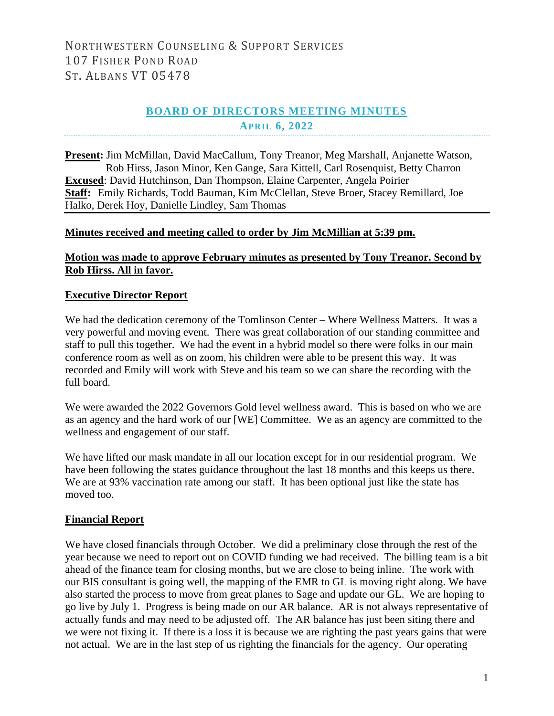## NORTHWESTERN COUNSELING & SUPPORT SERVICES 107 FISHER POND ROAD ST. ALBANS VT 05478

## **BOARD OF DIRECTORS MEETING MINUTES APRIL 6, 2022**

**Present:** Jim McMillan, David MacCallum, Tony Treanor, Meg Marshall, Anjanette Watson, Rob Hirss, Jason Minor, Ken Gange, Sara Kittell, Carl Rosenquist, Betty Charron **Excused**: David Hutchinson, Dan Thompson, Elaine Carpenter, Angela Poirier **Staff:** Emily Richards, Todd Bauman, Kim McClellan, Steve Broer, Stacey Remillard, Joe Halko, Derek Hoy, Danielle Lindley, Sam Thomas

#### **Minutes received and meeting called to order by Jim McMillian at 5:39 pm.**

#### **Motion was made to approve February minutes as presented by Tony Treanor. Second by Rob Hirss. All in favor.**

#### **Executive Director Report**

We had the dedication ceremony of the Tomlinson Center – Where Wellness Matters. It was a very powerful and moving event. There was great collaboration of our standing committee and staff to pull this together. We had the event in a hybrid model so there were folks in our main conference room as well as on zoom, his children were able to be present this way. It was recorded and Emily will work with Steve and his team so we can share the recording with the full board.

We were awarded the 2022 Governors Gold level wellness award. This is based on who we are as an agency and the hard work of our [WE] Committee. We as an agency are committed to the wellness and engagement of our staff.

We have lifted our mask mandate in all our location except for in our residential program. We have been following the states guidance throughout the last 18 months and this keeps us there. We are at 93% vaccination rate among our staff. It has been optional just like the state has moved too.

#### **Financial Report**

We have closed financials through October. We did a preliminary close through the rest of the year because we need to report out on COVID funding we had received. The billing team is a bit ahead of the finance team for closing months, but we are close to being inline. The work with our BIS consultant is going well, the mapping of the EMR to GL is moving right along. We have also started the process to move from great planes to Sage and update our GL. We are hoping to go live by July 1. Progress is being made on our AR balance. AR is not always representative of actually funds and may need to be adjusted off. The AR balance has just been siting there and we were not fixing it. If there is a loss it is because we are righting the past years gains that were not actual. We are in the last step of us righting the financials for the agency. Our operating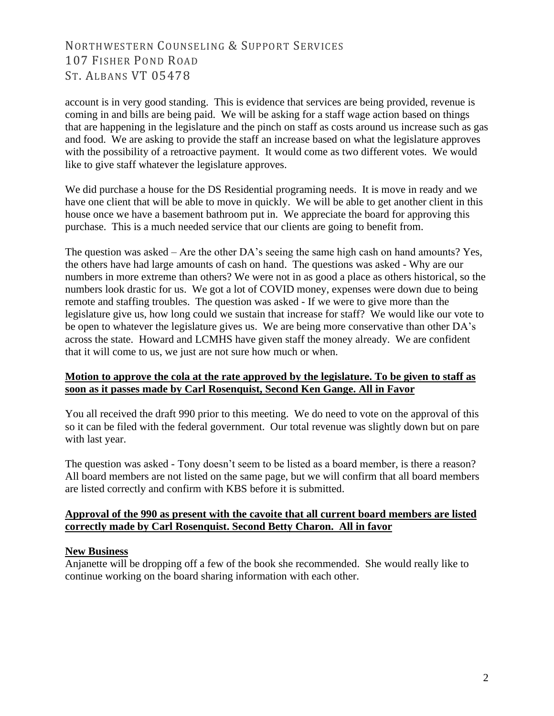## NORTHWESTERN COUNSELING & SUPPORT SERVICES 107 FISHER POND ROAD ST. ALBANS VT 05478

account is in very good standing. This is evidence that services are being provided, revenue is coming in and bills are being paid. We will be asking for a staff wage action based on things that are happening in the legislature and the pinch on staff as costs around us increase such as gas and food. We are asking to provide the staff an increase based on what the legislature approves with the possibility of a retroactive payment. It would come as two different votes. We would like to give staff whatever the legislature approves.

We did purchase a house for the DS Residential programing needs. It is move in ready and we have one client that will be able to move in quickly. We will be able to get another client in this house once we have a basement bathroom put in. We appreciate the board for approving this purchase. This is a much needed service that our clients are going to benefit from.

The question was asked – Are the other DA's seeing the same high cash on hand amounts? Yes, the others have had large amounts of cash on hand. The questions was asked - Why are our numbers in more extreme than others? We were not in as good a place as others historical, so the numbers look drastic for us. We got a lot of COVID money, expenses were down due to being remote and staffing troubles. The question was asked - If we were to give more than the legislature give us, how long could we sustain that increase for staff? We would like our vote to be open to whatever the legislature gives us. We are being more conservative than other DA's across the state. Howard and LCMHS have given staff the money already. We are confident that it will come to us, we just are not sure how much or when.

#### **Motion to approve the cola at the rate approved by the legislature. To be given to staff as soon as it passes made by Carl Rosenquist, Second Ken Gange. All in Favor**

You all received the draft 990 prior to this meeting. We do need to vote on the approval of this so it can be filed with the federal government. Our total revenue was slightly down but on pare with last year.

The question was asked - Tony doesn't seem to be listed as a board member, is there a reason? All board members are not listed on the same page, but we will confirm that all board members are listed correctly and confirm with KBS before it is submitted.

#### **Approval of the 990 as present with the cavoite that all current board members are listed correctly made by Carl Rosenquist. Second Betty Charon. All in favor**

#### **New Business**

Anjanette will be dropping off a few of the book she recommended. She would really like to continue working on the board sharing information with each other.